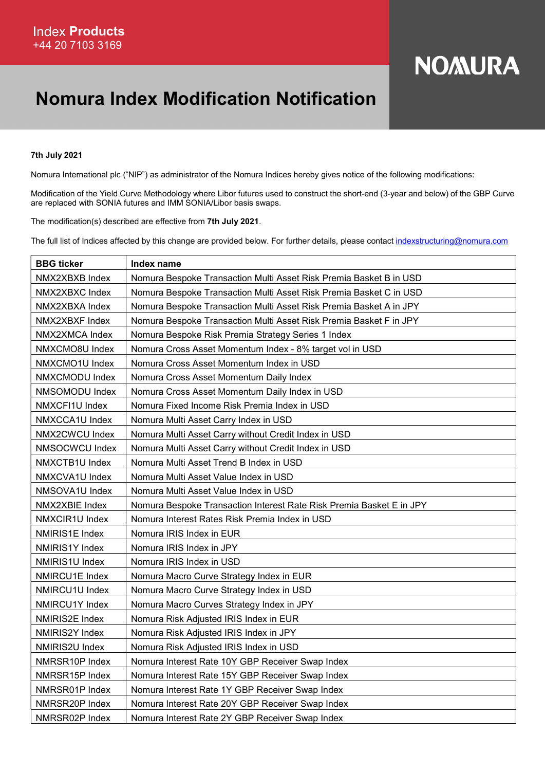## **NOMURA**

## Nomura Index Modification Notification

## 7th July 2021

Nomura International plc ("NIP") as administrator of the Nomura Indices hereby gives notice of the following modifications:

Modification of the Yield Curve Methodology where Libor futures used to construct the short-end (3-year and below) of the GBP Curve are replaced with SONIA futures and IMM SONIA/Libor basis swaps.

The modification(s) described are effective from 7th July 2021.

The full list of Indices affected by this change are provided below. For further details, please contact indexstructuring@nomura.com

| <b>BBG</b> ticker | Index name                                                           |
|-------------------|----------------------------------------------------------------------|
| NMX2XBXB Index    | Nomura Bespoke Transaction Multi Asset Risk Premia Basket B in USD   |
| NMX2XBXC Index    | Nomura Bespoke Transaction Multi Asset Risk Premia Basket C in USD   |
| NMX2XBXA Index    | Nomura Bespoke Transaction Multi Asset Risk Premia Basket A in JPY   |
| NMX2XBXF Index    | Nomura Bespoke Transaction Multi Asset Risk Premia Basket F in JPY   |
| NMX2XMCA Index    | Nomura Bespoke Risk Premia Strategy Series 1 Index                   |
| NMXCMO8U Index    | Nomura Cross Asset Momentum Index - 8% target vol in USD             |
| NMXCMO1U Index    | Nomura Cross Asset Momentum Index in USD                             |
| NMXCMODU Index    | Nomura Cross Asset Momentum Daily Index                              |
| NMSOMODU Index    | Nomura Cross Asset Momentum Daily Index in USD                       |
| NMXCFI1U Index    | Nomura Fixed Income Risk Premia Index in USD                         |
| NMXCCA1U Index    | Nomura Multi Asset Carry Index in USD                                |
| NMX2CWCU Index    | Nomura Multi Asset Carry without Credit Index in USD                 |
| NMSOCWCU Index    | Nomura Multi Asset Carry without Credit Index in USD                 |
| NMXCTB1U Index    | Nomura Multi Asset Trend B Index in USD                              |
| NMXCVA1U Index    | Nomura Multi Asset Value Index in USD                                |
| NMSOVA1U Index    | Nomura Multi Asset Value Index in USD                                |
| NMX2XBIE Index    | Nomura Bespoke Transaction Interest Rate Risk Premia Basket E in JPY |
| NMXCIR1U Index    | Nomura Interest Rates Risk Premia Index in USD                       |
| NMIRIS1E Index    | Nomura IRIS Index in EUR                                             |
| NMIRIS1Y Index    | Nomura IRIS Index in JPY                                             |
| NMIRIS1U Index    | Nomura IRIS Index in USD                                             |
| NMIRCU1E Index    | Nomura Macro Curve Strategy Index in EUR                             |
| NMIRCU1U Index    | Nomura Macro Curve Strategy Index in USD                             |
| NMIRCU1Y Index    | Nomura Macro Curves Strategy Index in JPY                            |
| NMIRIS2E Index    | Nomura Risk Adjusted IRIS Index in EUR                               |
| NMIRIS2Y Index    | Nomura Risk Adjusted IRIS Index in JPY                               |
| NMIRIS2U Index    | Nomura Risk Adjusted IRIS Index in USD                               |
| NMRSR10P Index    | Nomura Interest Rate 10Y GBP Receiver Swap Index                     |
| NMRSR15P Index    | Nomura Interest Rate 15Y GBP Receiver Swap Index                     |
| NMRSR01P Index    | Nomura Interest Rate 1Y GBP Receiver Swap Index                      |
| NMRSR20P Index    | Nomura Interest Rate 20Y GBP Receiver Swap Index                     |
| NMRSR02P Index    | Nomura Interest Rate 2Y GBP Receiver Swap Index                      |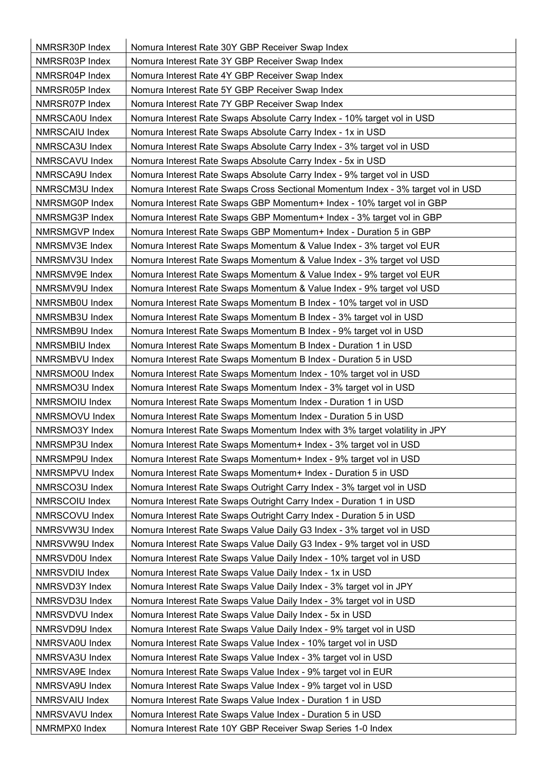| NMRSR30P Index | Nomura Interest Rate 30Y GBP Receiver Swap Index                                 |
|----------------|----------------------------------------------------------------------------------|
| NMRSR03P Index | Nomura Interest Rate 3Y GBP Receiver Swap Index                                  |
| NMRSR04P Index | Nomura Interest Rate 4Y GBP Receiver Swap Index                                  |
| NMRSR05P Index | Nomura Interest Rate 5Y GBP Receiver Swap Index                                  |
| NMRSR07P Index | Nomura Interest Rate 7Y GBP Receiver Swap Index                                  |
| NMRSCA0U Index | Nomura Interest Rate Swaps Absolute Carry Index - 10% target vol in USD          |
| NMRSCAIU Index | Nomura Interest Rate Swaps Absolute Carry Index - 1x in USD                      |
| NMRSCA3U Index | Nomura Interest Rate Swaps Absolute Carry Index - 3% target vol in USD           |
| NMRSCAVU Index | Nomura Interest Rate Swaps Absolute Carry Index - 5x in USD                      |
| NMRSCA9U Index | Nomura Interest Rate Swaps Absolute Carry Index - 9% target vol in USD           |
| NMRSCM3U Index | Nomura Interest Rate Swaps Cross Sectional Momentum Index - 3% target vol in USD |
| NMRSMG0P Index | Nomura Interest Rate Swaps GBP Momentum+ Index - 10% target vol in GBP           |
| NMRSMG3P Index | Nomura Interest Rate Swaps GBP Momentum+ Index - 3% target vol in GBP            |
| NMRSMGVP Index | Nomura Interest Rate Swaps GBP Momentum+ Index - Duration 5 in GBP               |
| NMRSMV3E Index | Nomura Interest Rate Swaps Momentum & Value Index - 3% target vol EUR            |
| NMRSMV3U Index | Nomura Interest Rate Swaps Momentum & Value Index - 3% target vol USD            |
| NMRSMV9E Index | Nomura Interest Rate Swaps Momentum & Value Index - 9% target vol EUR            |
| NMRSMV9U Index | Nomura Interest Rate Swaps Momentum & Value Index - 9% target vol USD            |
| NMRSMB0U Index | Nomura Interest Rate Swaps Momentum B Index - 10% target vol in USD              |
| NMRSMB3U Index | Nomura Interest Rate Swaps Momentum B Index - 3% target vol in USD               |
| NMRSMB9U Index | Nomura Interest Rate Swaps Momentum B Index - 9% target vol in USD               |
| NMRSMBIU Index | Nomura Interest Rate Swaps Momentum B Index - Duration 1 in USD                  |
| NMRSMBVU Index | Nomura Interest Rate Swaps Momentum B Index - Duration 5 in USD                  |
| NMRSMO0U Index | Nomura Interest Rate Swaps Momentum Index - 10% target vol in USD                |
| NMRSMO3U Index | Nomura Interest Rate Swaps Momentum Index - 3% target vol in USD                 |
| NMRSMOIU Index | Nomura Interest Rate Swaps Momentum Index - Duration 1 in USD                    |
| NMRSMOVU Index | Nomura Interest Rate Swaps Momentum Index - Duration 5 in USD                    |
| NMRSMO3Y Index | Nomura Interest Rate Swaps Momentum Index with 3% target volatility in JPY       |
| NMRSMP3U Index | Nomura Interest Rate Swaps Momentum+ Index - 3% target vol in USD                |
| NMRSMP9U Index | Nomura Interest Rate Swaps Momentum+ Index - 9% target vol in USD                |
| NMRSMPVU Index | Nomura Interest Rate Swaps Momentum+ Index - Duration 5 in USD                   |
| NMRSCO3U Index | Nomura Interest Rate Swaps Outright Carry Index - 3% target vol in USD           |
| NMRSCOIU Index | Nomura Interest Rate Swaps Outright Carry Index - Duration 1 in USD              |
| NMRSCOVU Index | Nomura Interest Rate Swaps Outright Carry Index - Duration 5 in USD              |
| NMRSVW3U Index | Nomura Interest Rate Swaps Value Daily G3 Index - 3% target vol in USD           |
| NMRSVW9U Index | Nomura Interest Rate Swaps Value Daily G3 Index - 9% target vol in USD           |
| NMRSVD0U Index | Nomura Interest Rate Swaps Value Daily Index - 10% target vol in USD             |
| NMRSVDIU Index | Nomura Interest Rate Swaps Value Daily Index - 1x in USD                         |
| NMRSVD3Y Index | Nomura Interest Rate Swaps Value Daily Index - 3% target vol in JPY              |
| NMRSVD3U Index | Nomura Interest Rate Swaps Value Daily Index - 3% target vol in USD              |
| NMRSVDVU Index | Nomura Interest Rate Swaps Value Daily Index - 5x in USD                         |
| NMRSVD9U Index | Nomura Interest Rate Swaps Value Daily Index - 9% target vol in USD              |
| NMRSVA0U Index | Nomura Interest Rate Swaps Value Index - 10% target vol in USD                   |
| NMRSVA3U Index | Nomura Interest Rate Swaps Value Index - 3% target vol in USD                    |
| NMRSVA9E Index | Nomura Interest Rate Swaps Value Index - 9% target vol in EUR                    |
| NMRSVA9U Index | Nomura Interest Rate Swaps Value Index - 9% target vol in USD                    |
| NMRSVAIU Index | Nomura Interest Rate Swaps Value Index - Duration 1 in USD                       |
| NMRSVAVU Index | Nomura Interest Rate Swaps Value Index - Duration 5 in USD                       |
| NMRMPX0 Index  | Nomura Interest Rate 10Y GBP Receiver Swap Series 1-0 Index                      |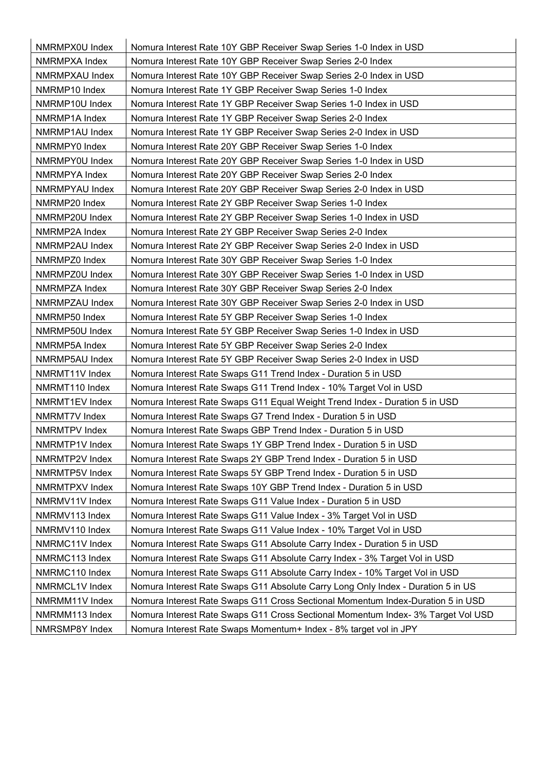| NMRMPX0U Index        | Nomura Interest Rate 10Y GBP Receiver Swap Series 1-0 Index in USD               |
|-----------------------|----------------------------------------------------------------------------------|
| NMRMPXA Index         | Nomura Interest Rate 10Y GBP Receiver Swap Series 2-0 Index                      |
| NMRMPXAU Index        | Nomura Interest Rate 10Y GBP Receiver Swap Series 2-0 Index in USD               |
| NMRMP10 Index         | Nomura Interest Rate 1Y GBP Receiver Swap Series 1-0 Index                       |
| NMRMP10U Index        | Nomura Interest Rate 1Y GBP Receiver Swap Series 1-0 Index in USD                |
| NMRMP1A Index         | Nomura Interest Rate 1Y GBP Receiver Swap Series 2-0 Index                       |
| NMRMP1AU Index        | Nomura Interest Rate 1Y GBP Receiver Swap Series 2-0 Index in USD                |
| NMRMPY0 Index         | Nomura Interest Rate 20Y GBP Receiver Swap Series 1-0 Index                      |
| NMRMPY0U Index        | Nomura Interest Rate 20Y GBP Receiver Swap Series 1-0 Index in USD               |
| NMRMPYA Index         | Nomura Interest Rate 20Y GBP Receiver Swap Series 2-0 Index                      |
| <b>NMRMPYAU Index</b> | Nomura Interest Rate 20Y GBP Receiver Swap Series 2-0 Index in USD               |
| NMRMP20 Index         | Nomura Interest Rate 2Y GBP Receiver Swap Series 1-0 Index                       |
| NMRMP20U Index        | Nomura Interest Rate 2Y GBP Receiver Swap Series 1-0 Index in USD                |
| NMRMP2A Index         | Nomura Interest Rate 2Y GBP Receiver Swap Series 2-0 Index                       |
| NMRMP2AU Index        | Nomura Interest Rate 2Y GBP Receiver Swap Series 2-0 Index in USD                |
| NMRMPZ0 Index         | Nomura Interest Rate 30Y GBP Receiver Swap Series 1-0 Index                      |
| NMRMPZ0U Index        | Nomura Interest Rate 30Y GBP Receiver Swap Series 1-0 Index in USD               |
| NMRMPZA Index         | Nomura Interest Rate 30Y GBP Receiver Swap Series 2-0 Index                      |
| NMRMPZAU Index        | Nomura Interest Rate 30Y GBP Receiver Swap Series 2-0 Index in USD               |
| NMRMP50 Index         | Nomura Interest Rate 5Y GBP Receiver Swap Series 1-0 Index                       |
| NMRMP50U Index        | Nomura Interest Rate 5Y GBP Receiver Swap Series 1-0 Index in USD                |
| NMRMP5A Index         | Nomura Interest Rate 5Y GBP Receiver Swap Series 2-0 Index                       |
| NMRMP5AU Index        | Nomura Interest Rate 5Y GBP Receiver Swap Series 2-0 Index in USD                |
| NMRMT11V Index        | Nomura Interest Rate Swaps G11 Trend Index - Duration 5 in USD                   |
| NMRMT110 Index        | Nomura Interest Rate Swaps G11 Trend Index - 10% Target Vol in USD               |
| NMRMT1EV Index        | Nomura Interest Rate Swaps G11 Equal Weight Trend Index - Duration 5 in USD      |
| NMRMT7V Index         | Nomura Interest Rate Swaps G7 Trend Index - Duration 5 in USD                    |
| NMRMTPV Index         | Nomura Interest Rate Swaps GBP Trend Index - Duration 5 in USD                   |
| NMRMTP1V Index        | Nomura Interest Rate Swaps 1Y GBP Trend Index - Duration 5 in USD                |
| NMRMTP2V Index        | Nomura Interest Rate Swaps 2Y GBP Trend Index - Duration 5 in USD                |
| NMRMTP5V Index        | Nomura Interest Rate Swaps 5Y GBP Trend Index - Duration 5 in USD                |
| NMRMTPXV Index        | Nomura Interest Rate Swaps 10Y GBP Trend Index - Duration 5 in USD               |
| NMRMV11V Index        | Nomura Interest Rate Swaps G11 Value Index - Duration 5 in USD                   |
| NMRMV113 Index        | Nomura Interest Rate Swaps G11 Value Index - 3% Target Vol in USD                |
| NMRMV110 Index        | Nomura Interest Rate Swaps G11 Value Index - 10% Target Vol in USD               |
| NMRMC11V Index        | Nomura Interest Rate Swaps G11 Absolute Carry Index - Duration 5 in USD          |
| NMRMC113 Index        | Nomura Interest Rate Swaps G11 Absolute Carry Index - 3% Target Vol in USD       |
| NMRMC110 Index        | Nomura Interest Rate Swaps G11 Absolute Carry Index - 10% Target Vol in USD      |
| NMRMCL1V Index        | Nomura Interest Rate Swaps G11 Absolute Carry Long Only Index - Duration 5 in US |
| NMRMM11V Index        | Nomura Interest Rate Swaps G11 Cross Sectional Momentum Index-Duration 5 in USD  |
| NMRMM113 Index        | Nomura Interest Rate Swaps G11 Cross Sectional Momentum Index- 3% Target Vol USD |
| NMRSMP8Y Index        | Nomura Interest Rate Swaps Momentum+ Index - 8% target vol in JPY                |